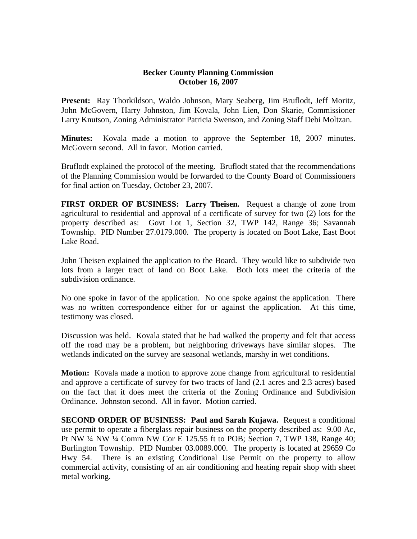## **Becker County Planning Commission October 16, 2007**

**Present:** Ray Thorkildson, Waldo Johnson, Mary Seaberg, Jim Bruflodt, Jeff Moritz, John McGovern, Harry Johnston, Jim Kovala, John Lien, Don Skarie, Commissioner Larry Knutson, Zoning Administrator Patricia Swenson, and Zoning Staff Debi Moltzan.

**Minutes:** Kovala made a motion to approve the September 18, 2007 minutes. McGovern second. All in favor. Motion carried.

Bruflodt explained the protocol of the meeting. Bruflodt stated that the recommendations of the Planning Commission would be forwarded to the County Board of Commissioners for final action on Tuesday, October 23, 2007.

**FIRST ORDER OF BUSINESS: Larry Theisen.** Request a change of zone from agricultural to residential and approval of a certificate of survey for two (2) lots for the property described as: Govt Lot 1, Section 32, TWP 142, Range 36; Savannah Township. PID Number 27.0179.000. The property is located on Boot Lake, East Boot Lake Road.

John Theisen explained the application to the Board. They would like to subdivide two lots from a larger tract of land on Boot Lake. Both lots meet the criteria of the subdivision ordinance.

No one spoke in favor of the application. No one spoke against the application. There was no written correspondence either for or against the application. At this time, testimony was closed.

Discussion was held. Kovala stated that he had walked the property and felt that access off the road may be a problem, but neighboring driveways have similar slopes. The wetlands indicated on the survey are seasonal wetlands, marshy in wet conditions.

**Motion:** Kovala made a motion to approve zone change from agricultural to residential and approve a certificate of survey for two tracts of land (2.1 acres and 2.3 acres) based on the fact that it does meet the criteria of the Zoning Ordinance and Subdivision Ordinance. Johnston second. All in favor. Motion carried.

**SECOND ORDER OF BUSINESS: Paul and Sarah Kujawa.** Request a conditional use permit to operate a fiberglass repair business on the property described as: 9.00 Ac, Pt NW ¼ NW ¼ Comm NW Cor E 125.55 ft to POB; Section 7, TWP 138, Range 40; Burlington Township. PID Number 03.0089.000. The property is located at 29659 Co Hwy 54. There is an existing Conditional Use Permit on the property to allow commercial activity, consisting of an air conditioning and heating repair shop with sheet metal working.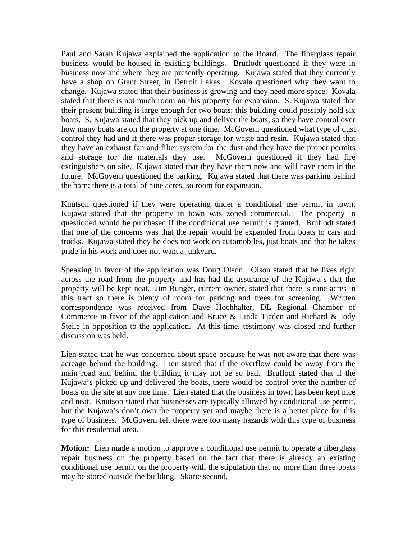Paul and Sarah Kujawa explained the application to the Board. The fiberglass repair business would be housed in existing buildings. Bruflodt questioned if they were in business now and where they are presently operating. Kujawa stated that they currently have a shop on Grant Street, in Detroit Lakes. Kovala questioned why they want to change. Kujawa stated that their business is growing and they need more space. Kovala stated that there is not much room on this property for expansion. S. Kujawa stated that their present building is large enough for two boats; this building could possibly hold six boats. S. Kujawa stated that they pick up and deliver the boats, so they have control over how many boats are on the property at one time. McGovern questioned what type of dust control they had and if there was proper storage for waste and resin. Kujawa stated that they have an exhaust fan and filter system for the dust and they have the proper permits and storage for the materials they use. McGovern questioned if they had fire extinguishers on site. Kujawa stated that they have them now and will have them in the future. McGovern questioned the parking. Kujawa stated that there was parking behind the barn; there is a total of nine acres, so room for expansion.

Knutson questioned if they were operating under a conditional use permit in town. Kujawa stated that the property in town was zoned commercial. The property in questioned would be purchased if the conditional use permit is granted. Bruflodt stated that one of the concerns was that the repair would be expanded from boats to cars and trucks. Kujawa stated they he does not work on automobiles, just boats and that he takes pride in his work and does not want a junkyard.

Speaking in favor of the application was Doug Olson. Olson stated that he lives right across the road from the property and has had the assurance of the Kujawa's that the property will be kept neat. Jim Runger, current owner, stated that there is nine acres in this tract so there is plenty of room for parking and trees for screening. Written correspondence was received from Dave Hochhalter, DL Regional Chamber of Commerce in favor of the application and Bruce & Linda Tjaden and Richard & Jody Steile in opposition to the application. At this time, testimony was closed and further discussion was held.

Lien stated that he was concerned about space because he was not aware that there was acreage behind the building. Lien stated that if the overflow could be away from the main road and behind the building it may not be so bad. Bruflodt stated that if the Kujawa's picked up and delivered the boats, there would be control over the number of boats on the site at any one time. Lien stated that the business in town has been kept nice and neat. Knutson stated that businesses are typically allowed by conditional use permit, but the Kujawa's don't own the property yet and maybe there is a better place for this type of business. McGovern felt there were too many hazards with this type of business for this residential area.

**Motion:** Lien made a motion to approve a conditional use permit to operate a fiberglass repair business on the property based on the fact that there is already an existing conditional use permit on the property with the stipulation that no more than three boats may be stored outside the building. Skarie second.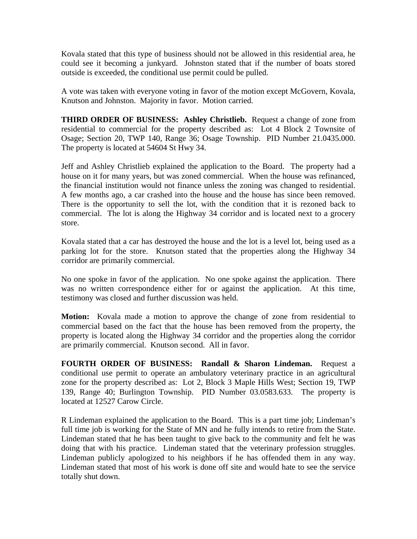Kovala stated that this type of business should not be allowed in this residential area, he could see it becoming a junkyard. Johnston stated that if the number of boats stored outside is exceeded, the conditional use permit could be pulled.

A vote was taken with everyone voting in favor of the motion except McGovern, Kovala, Knutson and Johnston. Majority in favor. Motion carried.

**THIRD ORDER OF BUSINESS: Ashley Christlieb.** Request a change of zone from residential to commercial for the property described as: Lot 4 Block 2 Townsite of Osage; Section 20, TWP 140, Range 36; Osage Township. PID Number 21.0435.000. The property is located at 54604 St Hwy 34.

Jeff and Ashley Christlieb explained the application to the Board. The property had a house on it for many years, but was zoned commercial. When the house was refinanced, the financial institution would not finance unless the zoning was changed to residential. A few months ago, a car crashed into the house and the house has since been removed. There is the opportunity to sell the lot, with the condition that it is rezoned back to commercial. The lot is along the Highway 34 corridor and is located next to a grocery store.

Kovala stated that a car has destroyed the house and the lot is a level lot, being used as a parking lot for the store. Knutson stated that the properties along the Highway 34 corridor are primarily commercial.

No one spoke in favor of the application. No one spoke against the application. There was no written correspondence either for or against the application. At this time, testimony was closed and further discussion was held.

**Motion:** Kovala made a motion to approve the change of zone from residential to commercial based on the fact that the house has been removed from the property, the property is located along the Highway 34 corridor and the properties along the corridor are primarily commercial. Knutson second. All in favor.

**FOURTH ORDER OF BUSINESS: Randall & Sharon Lindeman.** Request a conditional use permit to operate an ambulatory veterinary practice in an agricultural zone for the property described as: Lot 2, Block 3 Maple Hills West; Section 19, TWP 139, Range 40; Burlington Township. PID Number 03.0583.633. The property is located at 12527 Carow Circle.

R Lindeman explained the application to the Board. This is a part time job; Lindeman's full time job is working for the State of MN and he fully intends to retire from the State. Lindeman stated that he has been taught to give back to the community and felt he was doing that with his practice. Lindeman stated that the veterinary profession struggles. Lindeman publicly apologized to his neighbors if he has offended them in any way. Lindeman stated that most of his work is done off site and would hate to see the service totally shut down.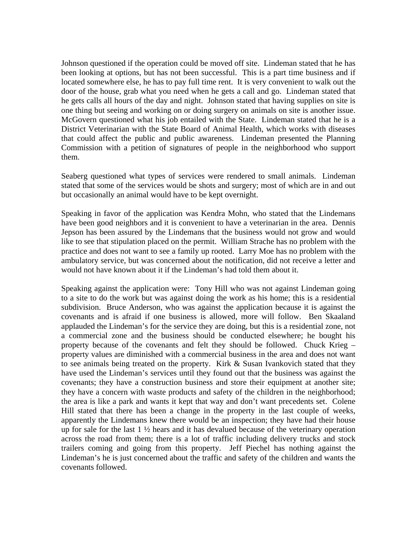Johnson questioned if the operation could be moved off site. Lindeman stated that he has been looking at options, but has not been successful. This is a part time business and if located somewhere else, he has to pay full time rent. It is very convenient to walk out the door of the house, grab what you need when he gets a call and go. Lindeman stated that he gets calls all hours of the day and night. Johnson stated that having supplies on site is one thing but seeing and working on or doing surgery on animals on site is another issue. McGovern questioned what his job entailed with the State. Lindeman stated that he is a District Veterinarian with the State Board of Animal Health, which works with diseases that could affect the public and public awareness. Lindeman presented the Planning Commission with a petition of signatures of people in the neighborhood who support them.

Seaberg questioned what types of services were rendered to small animals. Lindeman stated that some of the services would be shots and surgery; most of which are in and out but occasionally an animal would have to be kept overnight.

Speaking in favor of the application was Kendra Mohn, who stated that the Lindemans have been good neighbors and it is convenient to have a veterinarian in the area. Dennis Jepson has been assured by the Lindemans that the business would not grow and would like to see that stipulation placed on the permit. William Strache has no problem with the practice and does not want to see a family up rooted. Larry Moe has no problem with the ambulatory service, but was concerned about the notification, did not receive a letter and would not have known about it if the Lindeman's had told them about it.

Speaking against the application were: Tony Hill who was not against Lindeman going to a site to do the work but was against doing the work as his home; this is a residential subdivision. Bruce Anderson, who was against the application because it is against the covenants and is afraid if one business is allowed, more will follow. Ben Skaaland applauded the Lindeman's for the service they are doing, but this is a residential zone, not a commercial zone and the business should be conducted elsewhere; he bought his property because of the covenants and felt they should be followed. Chuck Krieg – property values are diminished with a commercial business in the area and does not want to see animals being treated on the property. Kirk & Susan Ivankovich stated that they have used the Lindeman's services until they found out that the business was against the covenants; they have a construction business and store their equipment at another site; they have a concern with waste products and safety of the children in the neighborhood; the area is like a park and wants it kept that way and don't want precedents set. Colene Hill stated that there has been a change in the property in the last couple of weeks, apparently the Lindemans knew there would be an inspection; they have had their house up for sale for the last  $1 \frac{1}{2}$  hears and it has devalued because of the veterinary operation across the road from them; there is a lot of traffic including delivery trucks and stock trailers coming and going from this property. Jeff Piechel has nothing against the Lindeman's he is just concerned about the traffic and safety of the children and wants the covenants followed.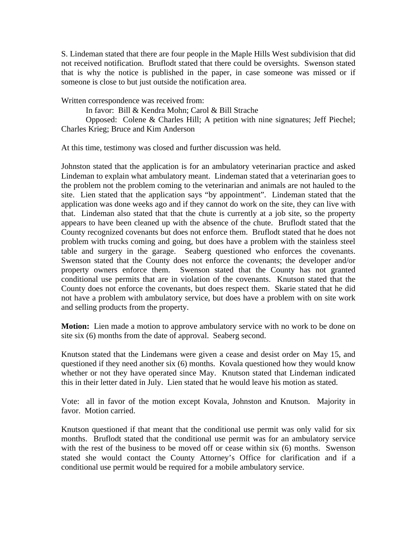S. Lindeman stated that there are four people in the Maple Hills West subdivision that did not received notification. Bruflodt stated that there could be oversights. Swenson stated that is why the notice is published in the paper, in case someone was missed or if someone is close to but just outside the notification area.

Written correspondence was received from:

In favor: Bill & Kendra Mohn; Carol & Bill Strache

Opposed: Colene & Charles Hill; A petition with nine signatures; Jeff Piechel; Charles Krieg; Bruce and Kim Anderson

At this time, testimony was closed and further discussion was held.

Johnston stated that the application is for an ambulatory veterinarian practice and asked Lindeman to explain what ambulatory meant. Lindeman stated that a veterinarian goes to the problem not the problem coming to the veterinarian and animals are not hauled to the site. Lien stated that the application says "by appointment". Lindeman stated that the application was done weeks ago and if they cannot do work on the site, they can live with that. Lindeman also stated that that the chute is currently at a job site, so the property appears to have been cleaned up with the absence of the chute. Bruflodt stated that the County recognized covenants but does not enforce them. Bruflodt stated that he does not problem with trucks coming and going, but does have a problem with the stainless steel table and surgery in the garage. Seaberg questioned who enforces the covenants. Swenson stated that the County does not enforce the covenants; the developer and/or property owners enforce them. Swenson stated that the County has not granted conditional use permits that are in violation of the covenants. Knutson stated that the County does not enforce the covenants, but does respect them. Skarie stated that he did not have a problem with ambulatory service, but does have a problem with on site work and selling products from the property.

**Motion:** Lien made a motion to approve ambulatory service with no work to be done on site six (6) months from the date of approval. Seaberg second.

Knutson stated that the Lindemans were given a cease and desist order on May 15, and questioned if they need another six (6) months. Kovala questioned how they would know whether or not they have operated since May. Knutson stated that Lindeman indicated this in their letter dated in July. Lien stated that he would leave his motion as stated.

Vote: all in favor of the motion except Kovala, Johnston and Knutson. Majority in favor. Motion carried.

Knutson questioned if that meant that the conditional use permit was only valid for six months. Bruflodt stated that the conditional use permit was for an ambulatory service with the rest of the business to be moved off or cease within six (6) months. Swenson stated she would contact the County Attorney's Office for clarification and if a conditional use permit would be required for a mobile ambulatory service.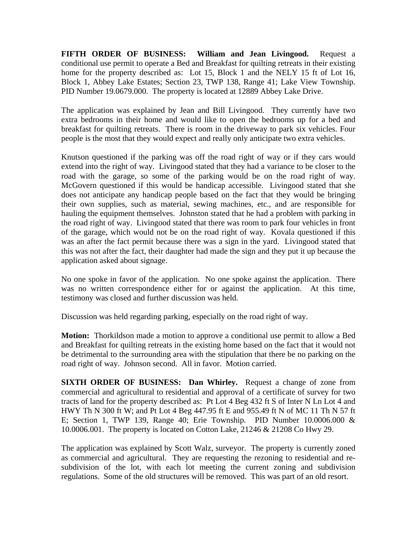**FIFTH ORDER OF BUSINESS: William and Jean Livingood.** Request a conditional use permit to operate a Bed and Breakfast for quilting retreats in their existing home for the property described as: Lot 15, Block 1 and the NELY 15 ft of Lot 16, Block 1, Abbey Lake Estates; Section 23, TWP 138, Range 41; Lake View Township. PID Number 19.0679.000. The property is located at 12889 Abbey Lake Drive.

The application was explained by Jean and Bill Livingood. They currently have two extra bedrooms in their home and would like to open the bedrooms up for a bed and breakfast for quilting retreats. There is room in the driveway to park six vehicles. Four people is the most that they would expect and really only anticipate two extra vehicles.

Knutson questioned if the parking was off the road right of way or if they cars would extend into the right of way. Livingood stated that they had a variance to be closer to the road with the garage, so some of the parking would be on the road right of way. McGovern questioned if this would be handicap accessible. Livingood stated that she does not anticipate any handicap people based on the fact that they would be bringing their own supplies, such as material, sewing machines, etc., and are responsible for hauling the equipment themselves. Johnston stated that he had a problem with parking in the road right of way. Livingood stated that there was room to park four vehicles in front of the garage, which would not be on the road right of way. Kovala questioned if this was an after the fact permit because there was a sign in the yard. Livingood stated that this was not after the fact, their daughter had made the sign and they put it up because the application asked about signage.

No one spoke in favor of the application. No one spoke against the application. There was no written correspondence either for or against the application. At this time, testimony was closed and further discussion was held.

Discussion was held regarding parking, especially on the road right of way.

**Motion:** Thorkildson made a motion to approve a conditional use permit to allow a Bed and Breakfast for quilting retreats in the existing home based on the fact that it would not be detrimental to the surrounding area with the stipulation that there be no parking on the road right of way. Johnson second. All in favor. Motion carried.

**SIXTH ORDER OF BUSINESS: Dan Whirley.** Request a change of zone from commercial and agricultural to residential and approval of a certificate of survey for two tracts of land for the property described as: Pt Lot 4 Beg 432 ft S of Inter N Ln Lot 4 and HWY Th N 300 ft W; and Pt Lot 4 Beg 447.95 ft E and 955.49 ft N of MC 11 Th N 57 ft E; Section 1, TWP 139, Range 40; Erie Township. PID Number 10.0006.000 & 10.0006.001. The property is located on Cotton Lake, 21246 & 21208 Co Hwy 29.

The application was explained by Scott Walz, surveyor. The property is currently zoned as commercial and agricultural. They are requesting the rezoning to residential and resubdivision of the lot, with each lot meeting the current zoning and subdivision regulations. Some of the old structures will be removed. This was part of an old resort.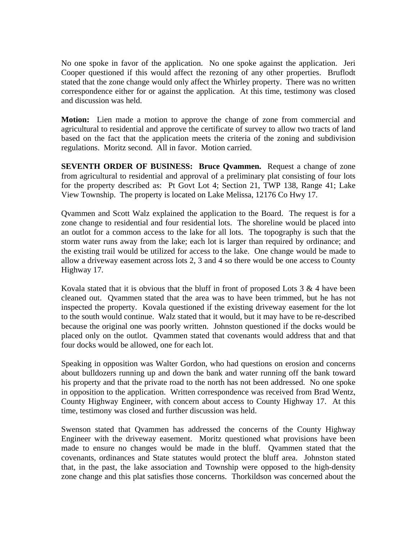No one spoke in favor of the application. No one spoke against the application. Jeri Cooper questioned if this would affect the rezoning of any other properties. Bruflodt stated that the zone change would only affect the Whirley property. There was no written correspondence either for or against the application. At this time, testimony was closed and discussion was held.

**Motion:** Lien made a motion to approve the change of zone from commercial and agricultural to residential and approve the certificate of survey to allow two tracts of land based on the fact that the application meets the criteria of the zoning and subdivision regulations. Moritz second. All in favor. Motion carried.

**SEVENTH ORDER OF BUSINESS: Bruce Qvammen.** Request a change of zone from agricultural to residential and approval of a preliminary plat consisting of four lots for the property described as: Pt Govt Lot 4; Section 21, TWP 138, Range 41; Lake View Township. The property is located on Lake Melissa, 12176 Co Hwy 17.

Qvammen and Scott Walz explained the application to the Board. The request is for a zone change to residential and four residential lots. The shoreline would be placed into an outlot for a common access to the lake for all lots. The topography is such that the storm water runs away from the lake; each lot is larger than required by ordinance; and the existing trail would be utilized for access to the lake. One change would be made to allow a driveway easement across lots 2, 3 and 4 so there would be one access to County Highway 17.

Kovala stated that it is obvious that the bluff in front of proposed Lots  $3 \& 4$  have been cleaned out. Qvammen stated that the area was to have been trimmed, but he has not inspected the property. Kovala questioned if the existing driveway easement for the lot to the south would continue. Walz stated that it would, but it may have to be re-described because the original one was poorly written. Johnston questioned if the docks would be placed only on the outlot. Qvammen stated that covenants would address that and that four docks would be allowed, one for each lot.

Speaking in opposition was Walter Gordon, who had questions on erosion and concerns about bulldozers running up and down the bank and water running off the bank toward his property and that the private road to the north has not been addressed. No one spoke in opposition to the application. Written correspondence was received from Brad Wentz, County Highway Engineer, with concern about access to County Highway 17. At this time, testimony was closed and further discussion was held.

Swenson stated that Qvammen has addressed the concerns of the County Highway Engineer with the driveway easement. Moritz questioned what provisions have been made to ensure no changes would be made in the bluff. Qvammen stated that the covenants, ordinances and State statutes would protect the bluff area. Johnston stated that, in the past, the lake association and Township were opposed to the high-density zone change and this plat satisfies those concerns. Thorkildson was concerned about the